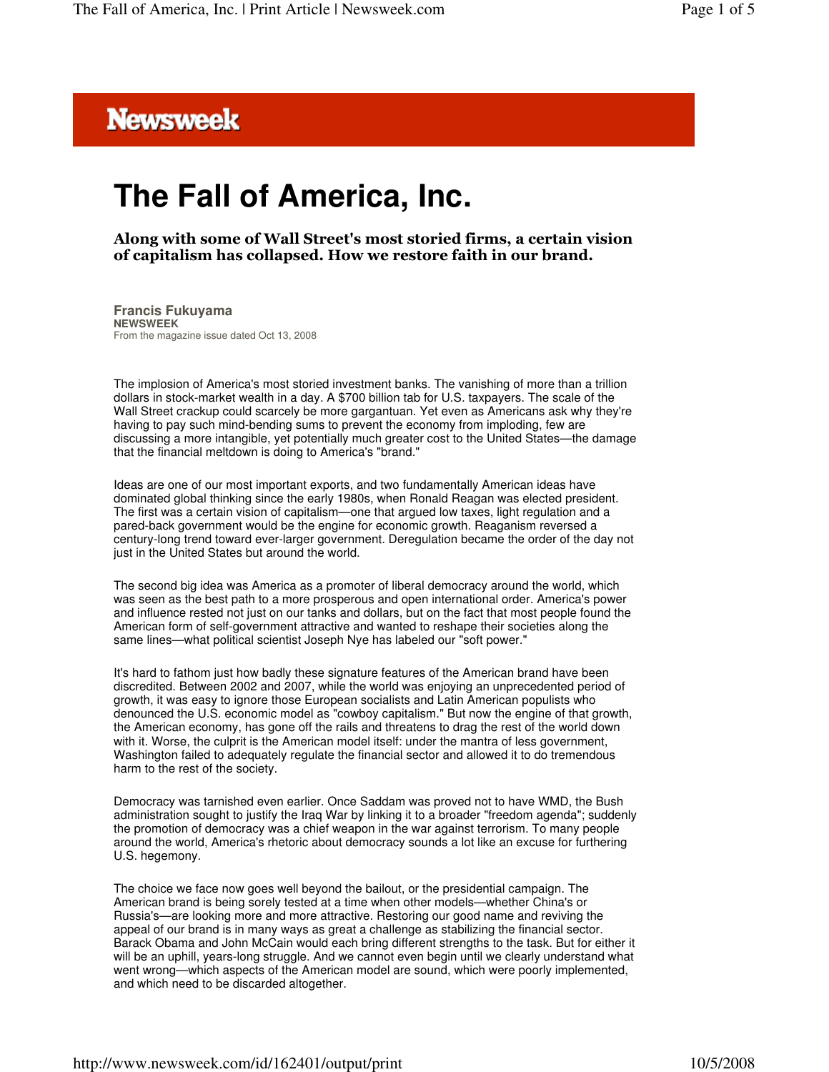## **Newsweek**

## **The Fall of America, Inc.**

Along with some of Wall Street's most storied firms, a certain vision of capitalism has collapsed. How we restore faith in our brand.

**Francis Fukuyama NEWSWEEK** From the magazine issue dated Oct 13, 2008

The implosion of America's most storied investment banks. The vanishing of more than a trillion dollars in stock-market wealth in a day. A \$700 billion tab for U.S. taxpayers. The scale of the Wall Street crackup could scarcely be more gargantuan. Yet even as Americans ask why they're having to pay such mind-bending sums to prevent the economy from imploding, few are discussing a more intangible, yet potentially much greater cost to the United States—the damage that the financial meltdown is doing to America's "brand."

Ideas are one of our most important exports, and two fundamentally American ideas have dominated global thinking since the early 1980s, when Ronald Reagan was elected president. The first was a certain vision of capitalism—one that argued low taxes, light regulation and a pared-back government would be the engine for economic growth. Reaganism reversed a century-long trend toward ever-larger government. Deregulation became the order of the day not just in the United States but around the world.

The second big idea was America as a promoter of liberal democracy around the world, which was seen as the best path to a more prosperous and open international order. America's power and influence rested not just on our tanks and dollars, but on the fact that most people found the American form of self-government attractive and wanted to reshape their societies along the same lines—what political scientist Joseph Nye has labeled our "soft power."

It's hard to fathom just how badly these signature features of the American brand have been discredited. Between 2002 and 2007, while the world was enjoying an unprecedented period of growth, it was easy to ignore those European socialists and Latin American populists who denounced the U.S. economic model as "cowboy capitalism." But now the engine of that growth, the American economy, has gone off the rails and threatens to drag the rest of the world down with it. Worse, the culprit is the American model itself: under the mantra of less government, Washington failed to adequately regulate the financial sector and allowed it to do tremendous harm to the rest of the society.

Democracy was tarnished even earlier. Once Saddam was proved not to have WMD, the Bush administration sought to justify the Iraq War by linking it to a broader "freedom agenda"; suddenly the promotion of democracy was a chief weapon in the war against terrorism. To many people around the world, America's rhetoric about democracy sounds a lot like an excuse for furthering U.S. hegemony.

The choice we face now goes well beyond the bailout, or the presidential campaign. The American brand is being sorely tested at a time when other models—whether China's or Russia's—are looking more and more attractive. Restoring our good name and reviving the appeal of our brand is in many ways as great a challenge as stabilizing the financial sector. Barack Obama and John McCain would each bring different strengths to the task. But for either it will be an uphill, years-long struggle. And we cannot even begin until we clearly understand what went wrong—which aspects of the American model are sound, which were poorly implemented, and which need to be discarded altogether.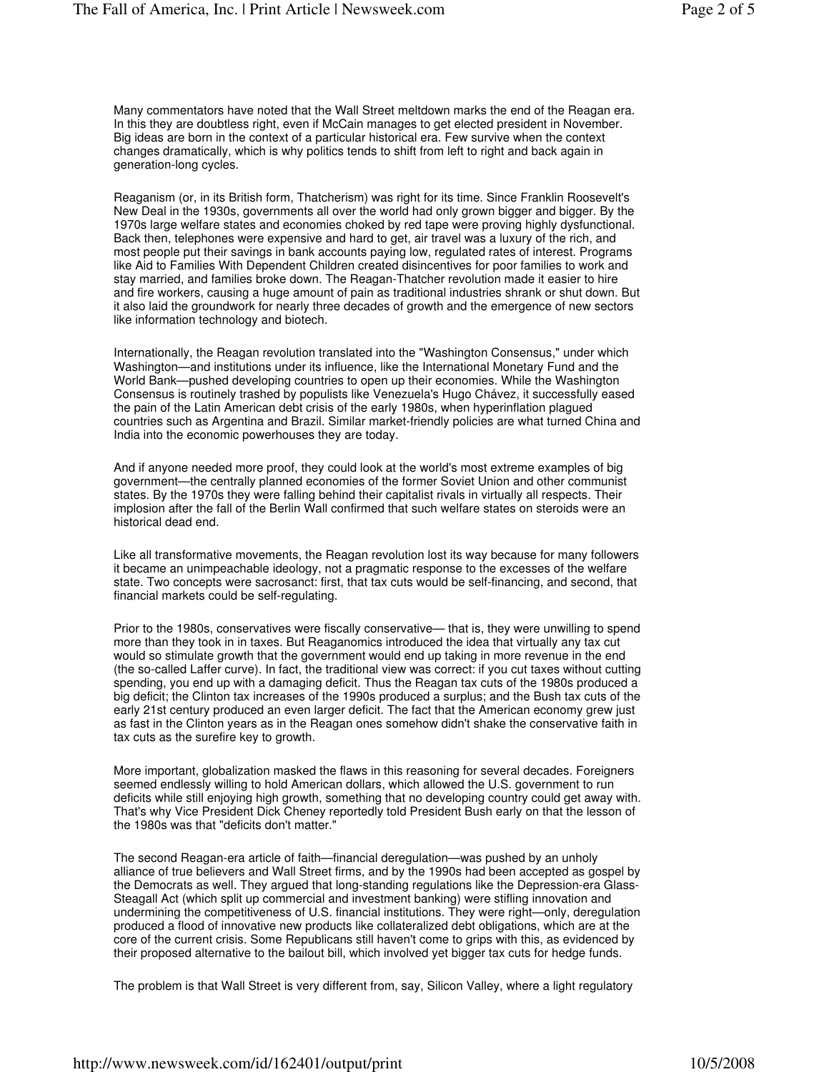Many commentators have noted that the Wall Street meltdown marks the end of the Reagan era. In this they are doubtless right, even if McCain manages to get elected president in November. Big ideas are born in the context of a particular historical era. Few survive when the context changes dramatically, which is why politics tends to shift from left to right and back again in generation-long cycles.

Reaganism (or, in its British form, Thatcherism) was right for its time. Since Franklin Roosevelt's New Deal in the 1930s, governments all over the world had only grown bigger and bigger. By the 1970s large welfare states and economies choked by red tape were proving highly dysfunctional. Back then, telephones were expensive and hard to get, air travel was a luxury of the rich, and most people put their savings in bank accounts paying low, regulated rates of interest. Programs like Aid to Families With Dependent Children created disincentives for poor families to work and stay married, and families broke down. The Reagan-Thatcher revolution made it easier to hire and fire workers, causing a huge amount of pain as traditional industries shrank or shut down. But it also laid the groundwork for nearly three decades of growth and the emergence of new sectors like information technology and biotech.

Internationally, the Reagan revolution translated into the "Washington Consensus," under which Washington—and institutions under its influence, like the International Monetary Fund and the World Bank—pushed developing countries to open up their economies. While the Washington Consensus is routinely trashed by populists like Venezuela's Hugo Chávez, it successfully eased the pain of the Latin American debt crisis of the early 1980s, when hyperinflation plagued countries such as Argentina and Brazil. Similar market-friendly policies are what turned China and India into the economic powerhouses they are today.

And if anyone needed more proof, they could look at the world's most extreme examples of big government—the centrally planned economies of the former Soviet Union and other communist states. By the 1970s they were falling behind their capitalist rivals in virtually all respects. Their implosion after the fall of the Berlin Wall confirmed that such welfare states on steroids were an historical dead end.

Like all transformative movements, the Reagan revolution lost its way because for many followers it became an unimpeachable ideology, not a pragmatic response to the excesses of the welfare state. Two concepts were sacrosanct: first, that tax cuts would be self-financing, and second, that financial markets could be self-regulating.

Prior to the 1980s, conservatives were fiscally conservative— that is, they were unwilling to spend more than they took in in taxes. But Reaganomics introduced the idea that virtually any tax cut would so stimulate growth that the government would end up taking in more revenue in the end (the so-called Laffer curve). In fact, the traditional view was correct: if you cut taxes without cutting spending, you end up with a damaging deficit. Thus the Reagan tax cuts of the 1980s produced a big deficit; the Clinton tax increases of the 1990s produced a surplus; and the Bush tax cuts of the early 21st century produced an even larger deficit. The fact that the American economy grew just as fast in the Clinton years as in the Reagan ones somehow didn't shake the conservative faith in tax cuts as the surefire key to growth.

More important, globalization masked the flaws in this reasoning for several decades. Foreigners seemed endlessly willing to hold American dollars, which allowed the U.S. government to run deficits while still enjoying high growth, something that no developing country could get away with. That's why Vice President Dick Cheney reportedly told President Bush early on that the lesson of the 1980s was that "deficits don't matter."

The second Reagan-era article of faith—financial deregulation—was pushed by an unholy alliance of true believers and Wall Street firms, and by the 1990s had been accepted as gospel by the Democrats as well. They argued that long-standing regulations like the Depression-era Glass-Steagall Act (which split up commercial and investment banking) were stifling innovation and undermining the competitiveness of U.S. financial institutions. They were right—only, deregulation produced a flood of innovative new products like collateralized debt obligations, which are at the core of the current crisis. Some Republicans still haven't come to grips with this, as evidenced by their proposed alternative to the bailout bill, which involved yet bigger tax cuts for hedge funds.

The problem is that Wall Street is very different from, say, Silicon Valley, where a light regulatory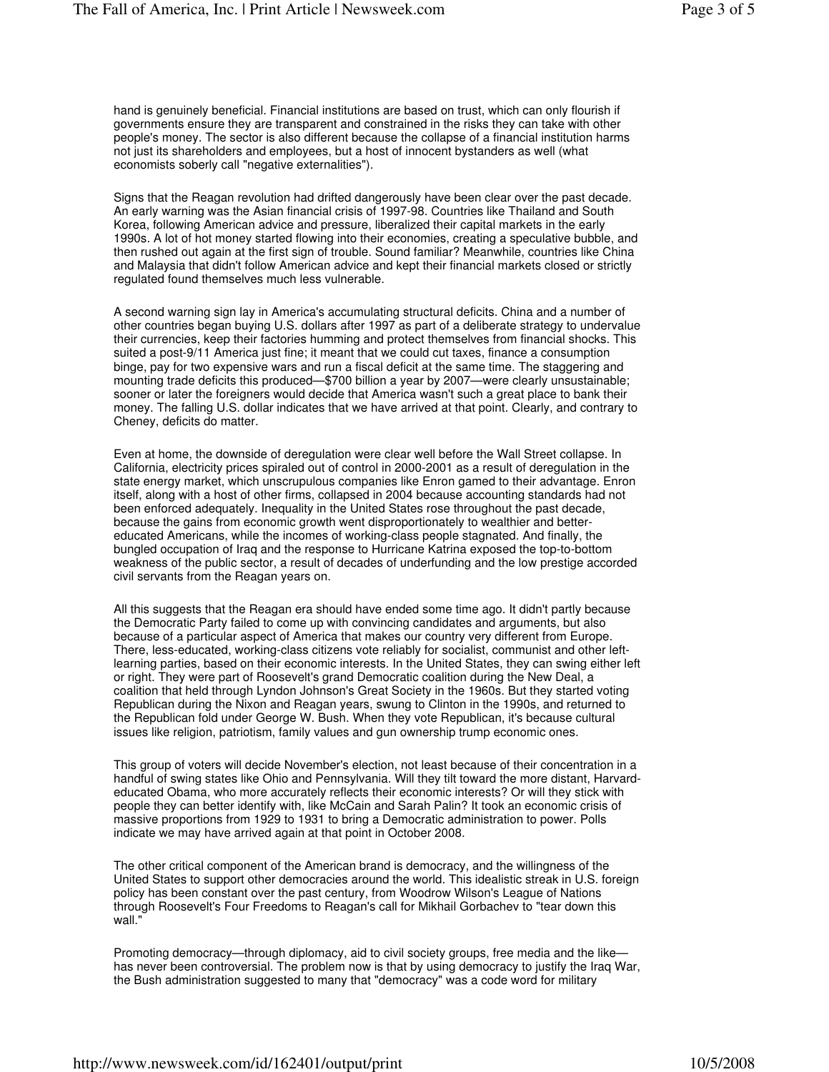hand is genuinely beneficial. Financial institutions are based on trust, which can only flourish if governments ensure they are transparent and constrained in the risks they can take with other people's money. The sector is also different because the collapse of a financial institution harms not just its shareholders and employees, but a host of innocent bystanders as well (what economists soberly call "negative externalities").

Signs that the Reagan revolution had drifted dangerously have been clear over the past decade. An early warning was the Asian financial crisis of 1997-98. Countries like Thailand and South Korea, following American advice and pressure, liberalized their capital markets in the early 1990s. A lot of hot money started flowing into their economies, creating a speculative bubble, and then rushed out again at the first sign of trouble. Sound familiar? Meanwhile, countries like China and Malaysia that didn't follow American advice and kept their financial markets closed or strictly regulated found themselves much less vulnerable.

A second warning sign lay in America's accumulating structural deficits. China and a number of other countries began buying U.S. dollars after 1997 as part of a deliberate strategy to undervalue their currencies, keep their factories humming and protect themselves from financial shocks. This suited a post-9/11 America just fine; it meant that we could cut taxes, finance a consumption binge, pay for two expensive wars and run a fiscal deficit at the same time. The staggering and mounting trade deficits this produced—\$700 billion a year by 2007—were clearly unsustainable; sooner or later the foreigners would decide that America wasn't such a great place to bank their money. The falling U.S. dollar indicates that we have arrived at that point. Clearly, and contrary to Cheney, deficits do matter.

Even at home, the downside of deregulation were clear well before the Wall Street collapse. In California, electricity prices spiraled out of control in 2000-2001 as a result of deregulation in the state energy market, which unscrupulous companies like Enron gamed to their advantage. Enron itself, along with a host of other firms, collapsed in 2004 because accounting standards had not been enforced adequately. Inequality in the United States rose throughout the past decade, because the gains from economic growth went disproportionately to wealthier and bettereducated Americans, while the incomes of working-class people stagnated. And finally, the bungled occupation of Iraq and the response to Hurricane Katrina exposed the top-to-bottom weakness of the public sector, a result of decades of underfunding and the low prestige accorded civil servants from the Reagan years on.

All this suggests that the Reagan era should have ended some time ago. It didn't partly because the Democratic Party failed to come up with convincing candidates and arguments, but also because of a particular aspect of America that makes our country very different from Europe. There, less-educated, working-class citizens vote reliably for socialist, communist and other leftlearning parties, based on their economic interests. In the United States, they can swing either left or right. They were part of Roosevelt's grand Democratic coalition during the New Deal, a coalition that held through Lyndon Johnson's Great Society in the 1960s. But they started voting Republican during the Nixon and Reagan years, swung to Clinton in the 1990s, and returned to the Republican fold under George W. Bush. When they vote Republican, it's because cultural issues like religion, patriotism, family values and gun ownership trump economic ones.

This group of voters will decide November's election, not least because of their concentration in a handful of swing states like Ohio and Pennsylvania. Will they tilt toward the more distant, Harvardeducated Obama, who more accurately reflects their economic interests? Or will they stick with people they can better identify with, like McCain and Sarah Palin? It took an economic crisis of massive proportions from 1929 to 1931 to bring a Democratic administration to power. Polls indicate we may have arrived again at that point in October 2008.

The other critical component of the American brand is democracy, and the willingness of the United States to support other democracies around the world. This idealistic streak in U.S. foreign policy has been constant over the past century, from Woodrow Wilson's League of Nations through Roosevelt's Four Freedoms to Reagan's call for Mikhail Gorbachev to "tear down this wall."

Promoting democracy—through diplomacy, aid to civil society groups, free media and the like has never been controversial. The problem now is that by using democracy to justify the Iraq War, the Bush administration suggested to many that "democracy" was a code word for military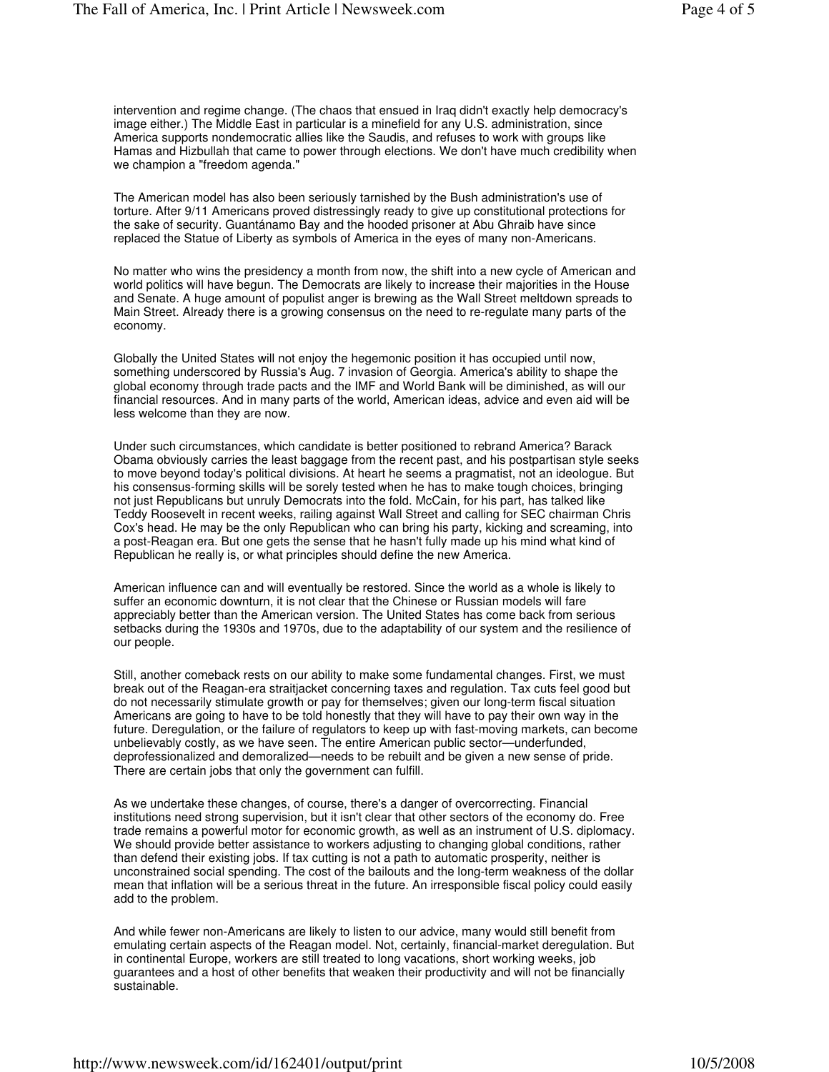intervention and regime change. (The chaos that ensued in Iraq didn't exactly help democracy's image either.) The Middle East in particular is a minefield for any U.S. administration, since America supports nondemocratic allies like the Saudis, and refuses to work with groups like Hamas and Hizbullah that came to power through elections. We don't have much credibility when we champion a "freedom agenda."

The American model has also been seriously tarnished by the Bush administration's use of torture. After 9/11 Americans proved distressingly ready to give up constitutional protections for the sake of security. Guantánamo Bay and the hooded prisoner at Abu Ghraib have since replaced the Statue of Liberty as symbols of America in the eyes of many non-Americans.

No matter who wins the presidency a month from now, the shift into a new cycle of American and world politics will have begun. The Democrats are likely to increase their majorities in the House and Senate. A huge amount of populist anger is brewing as the Wall Street meltdown spreads to Main Street. Already there is a growing consensus on the need to re-regulate many parts of the economy.

Globally the United States will not enjoy the hegemonic position it has occupied until now, something underscored by Russia's Aug. 7 invasion of Georgia. America's ability to shape the global economy through trade pacts and the IMF and World Bank will be diminished, as will our financial resources. And in many parts of the world, American ideas, advice and even aid will be less welcome than they are now.

Under such circumstances, which candidate is better positioned to rebrand America? Barack Obama obviously carries the least baggage from the recent past, and his postpartisan style seeks to move beyond today's political divisions. At heart he seems a pragmatist, not an ideologue. But his consensus-forming skills will be sorely tested when he has to make tough choices, bringing not just Republicans but unruly Democrats into the fold. McCain, for his part, has talked like Teddy Roosevelt in recent weeks, railing against Wall Street and calling for SEC chairman Chris Cox's head. He may be the only Republican who can bring his party, kicking and screaming, into a post-Reagan era. But one gets the sense that he hasn't fully made up his mind what kind of Republican he really is, or what principles should define the new America.

American influence can and will eventually be restored. Since the world as a whole is likely to suffer an economic downturn, it is not clear that the Chinese or Russian models will fare appreciably better than the American version. The United States has come back from serious setbacks during the 1930s and 1970s, due to the adaptability of our system and the resilience of our people.

Still, another comeback rests on our ability to make some fundamental changes. First, we must break out of the Reagan-era straitjacket concerning taxes and regulation. Tax cuts feel good but do not necessarily stimulate growth or pay for themselves; given our long-term fiscal situation Americans are going to have to be told honestly that they will have to pay their own way in the future. Deregulation, or the failure of regulators to keep up with fast-moving markets, can become unbelievably costly, as we have seen. The entire American public sector—underfunded, deprofessionalized and demoralized—needs to be rebuilt and be given a new sense of pride. There are certain jobs that only the government can fulfill.

As we undertake these changes, of course, there's a danger of overcorrecting. Financial institutions need strong supervision, but it isn't clear that other sectors of the economy do. Free trade remains a powerful motor for economic growth, as well as an instrument of U.S. diplomacy. We should provide better assistance to workers adjusting to changing global conditions, rather than defend their existing jobs. If tax cutting is not a path to automatic prosperity, neither is unconstrained social spending. The cost of the bailouts and the long-term weakness of the dollar mean that inflation will be a serious threat in the future. An irresponsible fiscal policy could easily add to the problem.

And while fewer non-Americans are likely to listen to our advice, many would still benefit from emulating certain aspects of the Reagan model. Not, certainly, financial-market deregulation. But in continental Europe, workers are still treated to long vacations, short working weeks, job guarantees and a host of other benefits that weaken their productivity and will not be financially sustainable.